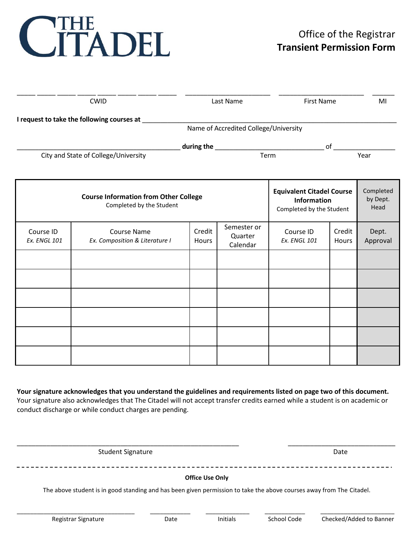# CITADEL

| <b>CWID</b>                                                                           |                                                      | Last Name       |                                    | <b>First Name</b>                                                                  |                 | MI                            |
|---------------------------------------------------------------------------------------|------------------------------------------------------|-----------------|------------------------------------|------------------------------------------------------------------------------------|-----------------|-------------------------------|
| I request to take the following courses at 1<br>Name of Accredited College/University |                                                      |                 |                                    |                                                                                    |                 |                               |
|                                                                                       |                                                      |                 |                                    | of $\overline{\qquad \qquad }$                                                     |                 |                               |
|                                                                                       | City and State of College/University                 |                 |                                    |                                                                                    |                 | $\overline{Year}$             |
| <b>Course Information from Other College</b><br>Completed by the Student              |                                                      |                 |                                    | <b>Equivalent Citadel Course</b><br><b>Information</b><br>Completed by the Student |                 | Completed<br>by Dept.<br>Head |
| Course ID<br><b>Ex. ENGL 101</b>                                                      | <b>Course Name</b><br>Ex. Composition & Literature I | Credit<br>Hours | Semester or<br>Quarter<br>Calendar | Course ID<br><b>Ex. ENGL 101</b>                                                   | Credit<br>Hours | Dept.<br>Approval             |
|                                                                                       |                                                      |                 |                                    |                                                                                    |                 |                               |
|                                                                                       |                                                      |                 |                                    |                                                                                    |                 |                               |
|                                                                                       |                                                      |                 |                                    |                                                                                    |                 |                               |
|                                                                                       |                                                      |                 |                                    |                                                                                    |                 |                               |
|                                                                                       |                                                      |                 |                                    |                                                                                    |                 |                               |

**Your signature acknowledges that you understand the guidelines and requirements listed on page two of this document.** Your signature also acknowledges that The Citadel will not accept transfer credits earned while a student is on academic or conduct discharge or while conduct charges are pending.

Student Signature Date

### **Office Use Only**

\_\_\_\_\_\_\_\_\_\_\_\_\_\_\_\_\_\_\_\_\_\_\_\_\_\_\_\_\_\_\_\_\_\_\_\_\_\_\_\_\_\_\_\_\_\_\_\_\_\_\_\_\_\_\_\_\_\_\_\_ \_\_\_\_\_\_\_\_\_\_\_\_\_\_\_\_\_\_\_\_\_\_\_\_\_\_\_\_\_

The above student is in good standing and has been given permission to take the above courses away from The Citadel.